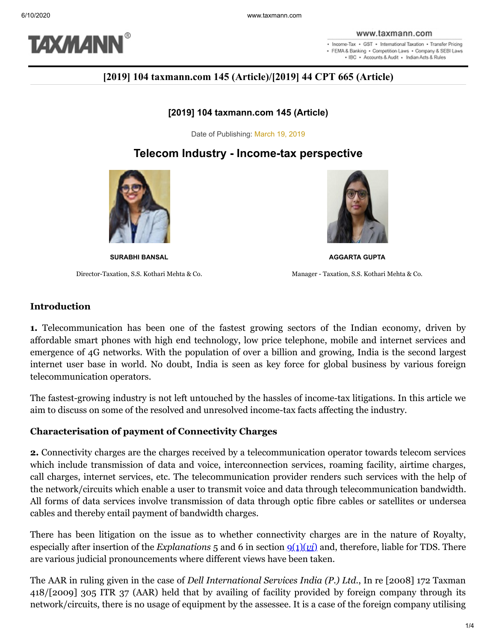

. Income-Tax . GST . International Taxation . Transfer Pricing · FEMA & Banking · Competition Laws · Company & SEBI Laws . IBC . Accounts & Audit . Indian Acts & Rules

# **[2019] 104 taxmann.com 145 (Article)/[2019] 44 CPT 665 (Article)**

### **[2019] 104 taxmann.com 145 (Article)**

Date of Publishing: March 19, 2019

# **Telecom Industry - Income-tax perspective**



Director-Taxation, S.S. Kothari Mehta & Co. Manager - Taxation, S.S. Kothari Mehta & Co.



**SURABHI BANSAL AGGARTA GUPTA**

### **Introduction**

**1.** Telecommunication has been one of the fastest growing sectors of the Indian economy, driven by affordable smart phones with high end technology, low price telephone, mobile and internet services and emergence of 4G networks. With the population of over a billion and growing, India is the second largest internet user base in world. No doubt, India is seen as key force for global business by various foreign telecommunication operators.

The fastest-growing industry is not left untouched by the hassles of income-tax litigations. In this article we aim to discuss on some of the resolved and unresolved income-tax facts affecting the industry.

### **Characterisation of payment of Connectivity Charges**

**2.** Connectivity charges are the charges received by a telecommunication operator towards telecom services which include transmission of data and voice, interconnection services, roaming facility, airtime charges, call charges, internet services, etc. The telecommunication provider renders such services with the help of the network/circuits which enable a user to transmit voice and data through telecommunication bandwidth. All forms of data services involve transmission of data through optic fibre cables or satellites or undersea cables and thereby entail payment of bandwidth charges.

There has been litigation on the issue as to whether connectivity charges are in the nature of Royalty, especially after insertion of the *Explanations*  $5$  and  $6$  in section  $9(1)(vi)$  and, therefore, liable for TDS. There are various judicial pronouncements where different views have been taken.

The AAR in ruling given in the case of *Dell International Services India (P.) Ltd.*, In re [2008] 172 Taxman 418/[2009] 305 ITR 37 (AAR) held that by availing of facility provided by foreign company through its network/circuits, there is no usage of equipment by the assessee. It is a case of the foreign company utilising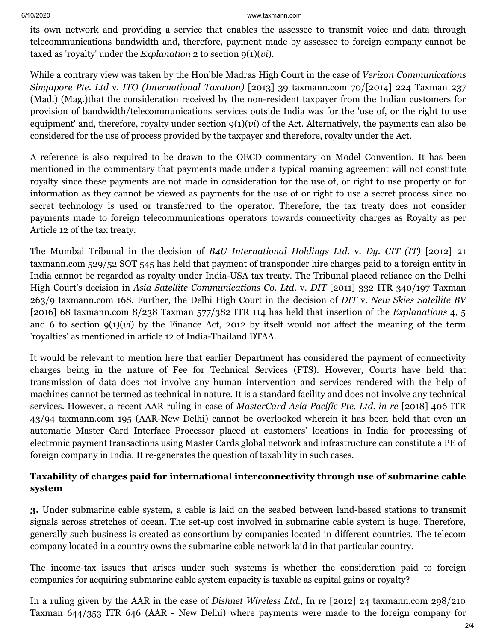#### 6/10/2020 www.taxmann.com

its own network and providing a service that enables the assessee to transmit voice and data through telecommunications bandwidth and, therefore, payment made by assessee to foreign company cannot be taxed as 'royalty' under the *Explanation* 2 to section 9(1)(*vi*).

While a contrary view was taken by the Hon'ble Madras High Court in the case of *Verizon Communications Singapore Pte. Ltd* v. *ITO (International Taxation)* [2013] 39 taxmann.com 70/[2014] 224 Taxman 237 (Mad.) (Mag.)that the consideration received by the non-resident taxpayer from the Indian customers for provision of bandwidth/telecommunications services outside India was for the 'use of, or the right to use equipment' and, therefore, royalty under section 9(1)(*vi*) of the Act. Alternatively, the payments can also be considered for the use of process provided by the taxpayer and therefore, royalty under the Act.

A reference is also required to be drawn to the OECD commentary on Model Convention. It has been mentioned in the commentary that payments made under a typical roaming agreement will not constitute royalty since these payments are not made in consideration for the use of, or right to use property or for information as they cannot be viewed as payments for the use of or right to use a secret process since no secret technology is used or transferred to the operator. Therefore, the tax treaty does not consider payments made to foreign telecommunications operators towards connectivity charges as Royalty as per Article 12 of the tax treaty.

The Mumbai Tribunal in the decision of *B4U International Holdings Ltd*. v. *Dy. CIT (IT)* [2012] 21 taxmann.com 529/52 SOT 545 has held that payment of transponder hire charges paid to a foreign entity in India cannot be regarded as royalty under India-USA tax treaty. The Tribunal placed reliance on the Delhi High Court's decision in *Asia Satellite Communications Co. Ltd.* v. *DIT* [2011] 332 ITR 340/197 Taxman 263/9 taxmann.com 168. Further, the Delhi High Court in the decision of *DIT* v. *New Skies Satellite BV* [2016] 68 taxmann.com 8/238 Taxman 577/382 ITR 114 has held that insertion of the *Explanations* 4, 5 and 6 to section  $g(1)(vi)$  by the Finance Act, 2012 by itself would not affect the meaning of the term 'royalties' as mentioned in article 12 of India-Thailand DTAA.

It would be relevant to mention here that earlier Department has considered the payment of connectivity charges being in the nature of Fee for Technical Services (FTS). However, Courts have held that transmission of data does not involve any human intervention and services rendered with the help of machines cannot be termed as technical in nature. It is a standard facility and does not involve any technical services. However, a recent AAR ruling in case of *MasterCard Asia Pacific Pte. Ltd. in re* [2018] 406 ITR 43/94 taxmann.com 195 (AAR-New Delhi) cannot be overlooked wherein it has been held that even an automatic Master Card Interface Processor placed at customers' locations in India for processing of electronic payment transactions using Master Cards global network and infrastructure can constitute a PE of foreign company in India. It re-generates the question of taxability in such cases.

## **Taxability of charges paid for international interconnectivity through use of submarine cable system**

**3.** Under submarine cable system, a cable is laid on the seabed between land-based stations to transmit signals across stretches of ocean. The set-up cost involved in submarine cable system is huge. Therefore, generally such business is created as consortium by companies located in different countries. The telecom company located in a country owns the submarine cable network laid in that particular country.

The income-tax issues that arises under such systems is whether the consideration paid to foreign companies for acquiring submarine cable system capacity is taxable as capital gains or royalty?

In a ruling given by the AAR in the case of *Dishnet Wireless Ltd.*, In re [2012] 24 taxmann.com 298/210 Taxman 644/353 ITR 646 (AAR - New Delhi) where payments were made to the foreign company for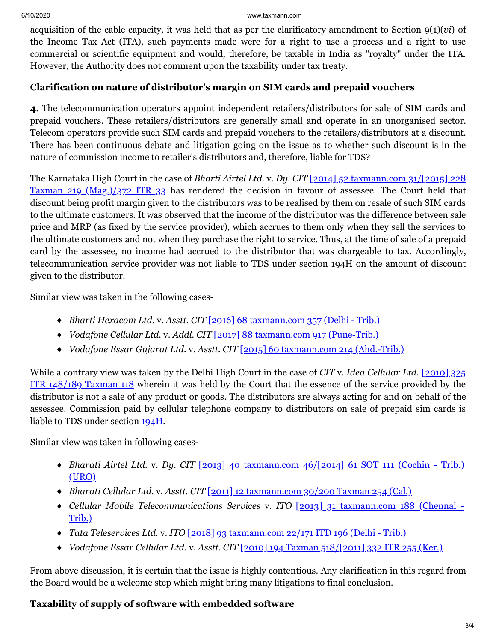#### 6/10/2020 www.taxmann.com

acquisition of the cable capacity, it was held that as per the clarificatory amendment to Section 9(1)(*vi*) of the Income Tax Act (ITA), such payments made were for a right to use a process and a right to use commercial or scientific equipment and would, therefore, be taxable in India as "royalty" under the ITA. However, the Authority does not comment upon the taxability under tax treaty.

## **Clarification on nature of distributor's margin on SIM cards and prepaid vouchers**

**4.** The telecommunication operators appoint independent retailers/distributors for sale of SIM cards and prepaid vouchers. These retailers/distributors are generally small and operate in an unorganised sector. Telecom operators provide such SIM cards and prepaid vouchers to the retailers/distributors at a discount. There has been continuous debate and litigation going on the issue as to whether such discount is in the nature of commission income to retailer's distributors and, therefore, liable for TDS?

The Karnataka High Court in the case of *Bharti Airtel Ltd.* v. *Dy. CIT* [2014] 52 taxmann.com 31/[2015] 228 Taxman 219 (Mag.)/372 ITR 33 [has rendered the decision in favour of assessee. The Court held that](https://www.taxmann.com/fileopen.aspx?id=101010000000150348&source=link) discount being profit margin given to the distributors was to be realised by them on resale of such SIM cards to the ultimate customers. It was observed that the income of the distributor was the difference between sale price and MRP (as fixed by the service provider), which accrues to them only when they sell the services to the ultimate customers and not when they purchase the right to service. Thus, at the time of sale of a prepaid card by the assessee, no income had accrued to the distributor that was chargeable to tax. Accordingly, telecommunication service provider was not liable to TDS under section 194H on the amount of discount given to the distributor.

Similar view was taken in the following cases-

- ♦ *Bharti Hexacom Ltd.* v. *Asstt. CIT* [\[2016\] 68 taxmann.com 357 \(Delhi Trib.\)](https://www.taxmann.com/fileopen.aspx?id=101010000000168199&source=link)
- ♦ *Vodafone Cellular Ltd.* v. *Addl. CIT* [\[2017\] 88 taxmann.com 917 \(Pune-Trib.\)](https://www.taxmann.com/fileopen.aspx?id=101010000000175369&source=link)
- ♦ *Vodafone Essar Gujarat Ltd.* v. *Asstt. CIT* [\[2015\] 60 taxmann.com 214 \(Ahd.-Trib.\)](https://www.taxmann.com/fileopen.aspx?id=101010000000161700&source=link)

While a contrary view was taken by the Delhi High Court in the case of *CIT* v. *Idea Cellular Ltd.* [2010] 325 ITR 148/189 Taxman 118 [wherein it was held by the Court that the essence of the service provided by the](https://www.taxmann.com/fileopen.aspx?id=101010000000028784&source=link) distributor is not a sale of any product or goods. The distributors are always acting for and on behalf of the assessee. Commission paid by cellular telephone company to distributors on sale of prepaid sim cards is liable to TDS under section [194H](https://www.taxmann.com/fileopen.aspx?Page=ACT&id=102120000000072787&source=link).

Similar view was taken in following cases-

- ♦ *Bharati Airtel Ltd.* v. *Dy. CIT* [2013] 40 [taxmann.com 46/\[2014\] 61 SOT 111 \(Cochin Trib.\)](https://www.taxmann.com/fileopen.aspx?id=101010000000089042&source=link) (URO)
- ♦ *Bharati Cellular Ltd.* v. *Asstt. CIT* [\[2011\] 12 taxmann.com 30/200 Taxman 254 \(Cal.\)](https://www.taxmann.com/fileopen.aspx?id=101010000000024986&source=link)
- ♦ *[Cellular Mobile Telecommunications Services](https://www.taxmann.com/fileopen.aspx?id=101010000000084139&source=link)* v. *ITO* [2013] 31 taxmann.com 188 (Chennai Trib.)
- ♦ *Tata Teleservices Ltd.* v. *ITO* [\[2018\] 93 taxmann.com 22/171 ITD 196 \(Delhi Trib.\)](https://www.taxmann.com/fileopen.aspx?id=101010000000180383&source=link)
- ♦ *Vodafone Essar Cellular Ltd.* v. *Asstt. CIT* [\[2010\] 194 Taxman 518/\[2011\] 332 ITR 255 \(Ker.\)](https://www.taxmann.com/fileopen.aspx?id=101010000000038913&source=link)

From above discussion, it is certain that the issue is highly contentious. Any clarification in this regard from the Board would be a welcome step which might bring many litigations to final conclusion.

# **Taxability of supply of software with embedded software**